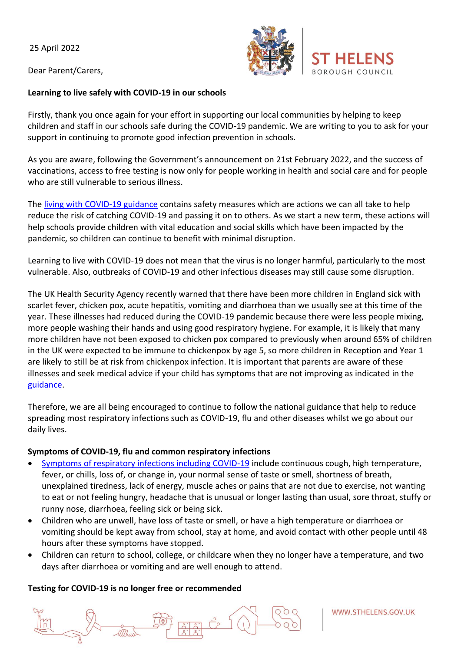25 April 2022

Dear Parent/Carers,

### **Learning to live safely with COVID-19 in our schools**

Firstly, thank you once again for your effort in supporting our local communities by helping to keep children and staff in our schools safe during the COVID-19 pandemic. We are writing to you to ask for your support in continuing to promote good infection prevention in schools.

As you are aware, following the Government's announcement on 21st February 2022, and the success of vaccinations, access to free testing is now only for people working in health and social care and for people who are still vulnerable to serious illness.

The [living with COVID-19 guidance](https://www.gov.uk/guidance/living-safely-with-respiratory-infections-including-covid-19) contains safety measures which are actions we can all take to help reduce the risk of catching COVID-19 and passing it on to others. As we start a new term, these actions will help schools provide children with vital education and social skills which have been impacted by the pandemic, so children can continue to benefit with minimal disruption.

Learning to live with COVID-19 does not mean that the virus is no longer harmful, particularly to the most vulnerable. Also, outbreaks of COVID-19 and other infectious diseases may still cause some disruption.

The UK Health Security Agency recently warned that there have been more children in England sick with scarlet fever, chicken pox, acute hepatitis, vomiting and diarrhoea than we usually see at this time of the year. These illnesses had reduced during the COVID-19 pandemic because there were less people mixing, more people washing their hands and using good respiratory hygiene. For example, it is likely that many more children have not been exposed to chicken pox compared to previously when around 65% of children in the UK were expected to be immune to chickenpox by age 5, so more children in Reception and Year 1 are likely to still be at risk from chickenpox infection. It is important that parents are aware of these illnesses and seek medical advice if your child has symptoms that are not improving as indicated in the [guidance.](https://www.gov.uk/government/publications/health-protection-in-schools-and-other-childcare-facilities/chapter-3-public-health-management-of-specific-infectious-diseases)

Therefore, we are all being encouraged to continue to follow the national guidance that help to reduce spreading most respiratory infections such as COVID-19, flu and other diseases whilst we go about our daily lives.

## **Symptoms of COVID-19, flu and common respiratory infections**

- [Symptoms of respiratory infections including COVID-19](https://www.nhs.uk/conditions/coronavirus-covid-19/symptoms/coronavirus-in-children/) include continuous cough, high temperature, fever, or chills, loss of, or change in, your normal sense of taste or smell, shortness of breath, unexplained tiredness, lack of energy, muscle aches or pains that are not due to exercise, not wanting to eat or not feeling hungry, headache that is unusual or longer lasting than usual, sore throat, stuffy or runny nose, diarrhoea, feeling sick or being sick.
- Children who are unwell, have loss of taste or smell, or have a high temperature or diarrhoea or vomiting should be kept away from school, stay at home, and avoid contact with other people until 48 hours after these symptoms have stopped.
- Children can return to school, college, or childcare when they no longer have a temperature, and two days after diarrhoea or vomiting and are well enough to attend.

## **Testing for COVID-19 is no longer free or recommended**



WWW.STHELENS.GOV.UK